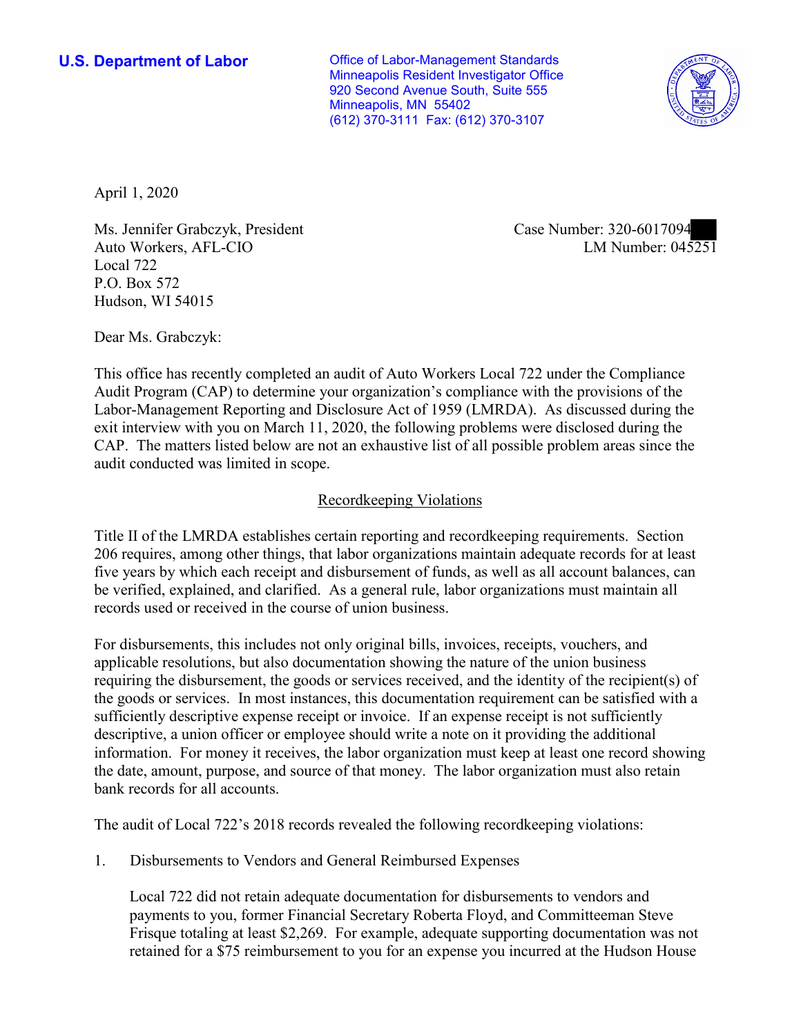**U.S. Department of Labor Conservative Conservative Conservative U.S. Department of Labor** Minneapolis Resident Investigator Office 920 Second Avenue South, Suite 555 Minneapolis, MN 55402 (612) 370-3111 Fax: (612) 370-3107



April 1, 2020

Ms. Jennifer Grabczyk, President Auto Workers, AFL-CIO Local 722 P.O. Box 572 Hudson, WI 54015

Case Number: 320-6017094<br>LM Number: 045251

Dear Ms. Grabczyk:

 This office has recently completed an audit of Auto Workers Local 722 under the Compliance Audit Program (CAP) to determine your organization's compliance with the provisions of the Labor-Management Reporting and Disclosure Act of 1959 (LMRDA). As discussed during the exit interview with you on March 11, 2020, the following problems were disclosed during the CAP. The matters listed below are not an exhaustive list of all possible problem areas since the audit conducted was limited in scope.

# Recordkeeping Violations

 Title II of the LMRDA establishes certain reporting and recordkeeping requirements. Section 206 requires, among other things, that labor organizations maintain adequate records for at least five years by which each receipt and disbursement of funds, as well as all account balances, can be verified, explained, and clarified. As a general rule, labor organizations must maintain all records used or received in the course of union business.

For disbursements, this includes not only original bills, invoices, receipts, vouchers, and applicable resolutions, but also documentation showing the nature of the union business requiring the disbursement, the goods or services received, and the identity of the recipient(s) of the goods or services. In most instances, this documentation requirement can be satisfied with a sufficiently descriptive expense receipt or invoice. If an expense receipt is not sufficiently descriptive, a union officer or employee should write a note on it providing the additional information. For money it receives, the labor organization must keep at least one record showing the date, amount, purpose, and source of that money. The labor organization must also retain bank records for all accounts.

The audit of Local 722's 2018 records revealed the following recordkeeping violations:

1. Disbursements to Vendors and General Reimbursed Expenses

Local 722 did not retain adequate documentation for disbursements to vendors and payments to you, former Financial Secretary Roberta Floyd, and Committeeman Steve Frisque totaling at least \$2,269. For example, adequate supporting documentation was not retained for a \$75 reimbursement to you for an expense you incurred at the Hudson House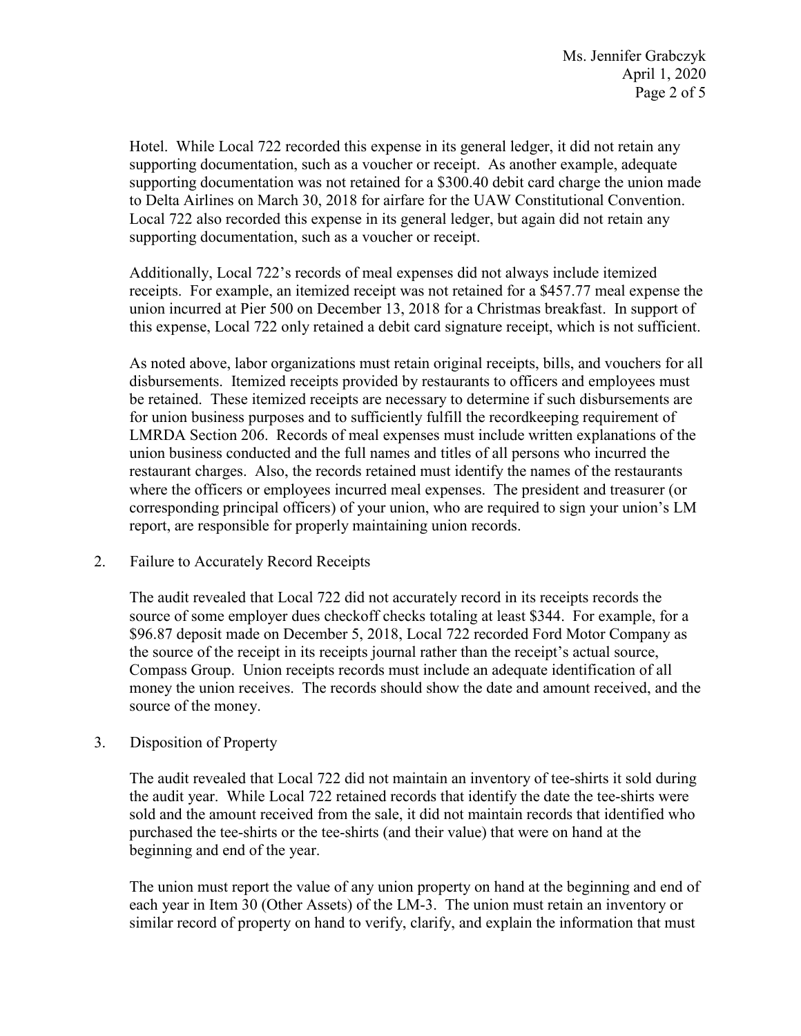to Delta Airlines on March 30, 2018 for airfare for the UAW Constitutional Convention. supporting documentation, such as a voucher or receipt. Hotel. While Local 722 recorded this expense in its general ledger, it did not retain any supporting documentation, such as a voucher or receipt. As another example, adequate supporting documentation was not retained for a \$300.40 debit card charge the union made Local 722 also recorded this expense in its general ledger, but again did not retain any

 receipts. For example, an itemized receipt was not retained for a \$457.77 meal expense the union incurred at Pier 500 on December 13, 2018 for a Christmas breakfast. In support of this expense, Local 722 only retained a debit card signature receipt, which is not sufficient. Additionally, Local 722's records of meal expenses did not always include itemized

 be retained. These itemized receipts are necessary to determine if such disbursements are corresponding principal officers) of your union, who are required to sign your union's LM As noted above, labor organizations must retain original receipts, bills, and vouchers for all disbursements. Itemized receipts provided by restaurants to officers and employees must for union business purposes and to sufficiently fulfill the recordkeeping requirement of LMRDA Section 206. Records of meal expenses must include written explanations of the union business conducted and the full names and titles of all persons who incurred the restaurant charges. Also, the records retained must identify the names of the restaurants where the officers or employees incurred meal expenses. The president and treasurer (or report, are responsible for properly maintaining union records.

# 2. Failure to Accurately Record Receipts

 The audit revealed that Local 722 did not accurately record in its receipts records the source of some employer dues checkoff checks totaling at least \$344. For example, for a the source of the receipt in its receipts journal rather than the receipt's actual source, Compass Group. Union receipts records must include an adequate identification of all \$96.87 deposit made on December 5, 2018, Local 722 recorded Ford Motor Company as money the union receives. The records should show the date and amount received, and the source of the money.

# 3. Disposition of Property

 purchased the tee-shirts or the tee-shirts (and their value) that were on hand at the beginning and end of the year. The audit revealed that Local 722 did not maintain an inventory of tee-shirts it sold during the audit year. While Local 722 retained records that identify the date the tee-shirts were sold and the amount received from the sale, it did not maintain records that identified who

 each year in Item 30 (Other Assets) of the LM-3. The union must retain an inventory or The union must report the value of any union property on hand at the beginning and end of similar record of property on hand to verify, clarify, and explain the information that must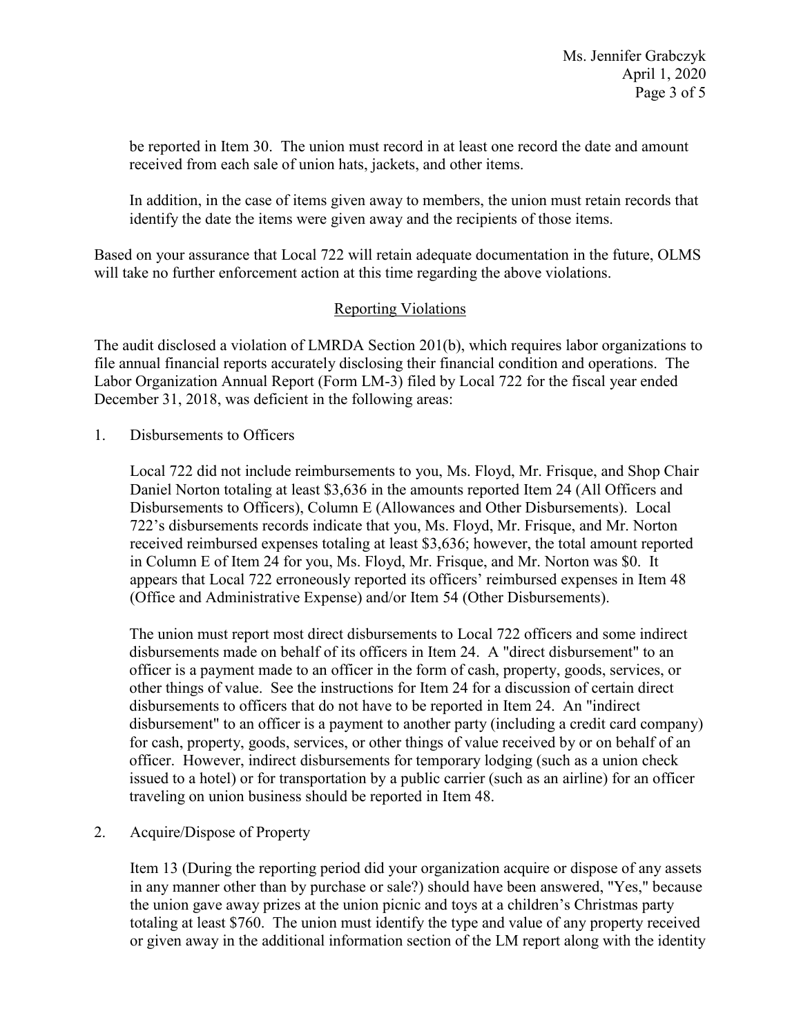be reported in Item 30. The union must record in at least one record the date and amount received from each sale of union hats, jackets, and other items.

 identify the date the items were given away and the recipients of those items. In addition, in the case of items given away to members, the union must retain records that

 Based on your assurance that Local 722 will retain adequate documentation in the future, OLMS will take no further enforcement action at this time regarding the above violations.

# Reporting Violations

 Labor Organization Annual Report (Form LM-3) filed by Local 722 for the fiscal year ended The audit disclosed a violation of LMRDA Section 201(b), which requires labor organizations to file annual financial reports accurately disclosing their financial condition and operations. The December 31, 2018, was deficient in the following areas:

1. Disbursements to Officers

 Disbursements to Officers), Column E (Allowances and Other Disbursements). Local in Column E of Item 24 for you, Ms. Floyd, Mr. Frisque, and Mr. Norton was \$0. It (Office and Administrative Expense) and/or Item 54 (Other Disbursements). Local 722 did not include reimbursements to you, Ms. Floyd, Mr. Frisque, and Shop Chair Daniel Norton totaling at least \$3,636 in the amounts reported Item 24 (All Officers and 722's disbursements records indicate that you, Ms. Floyd, Mr. Frisque, and Mr. Norton received reimbursed expenses totaling at least \$3,636; however, the total amount reported appears that Local 722 erroneously reported its officers' reimbursed expenses in Item 48

 The union must report most direct disbursements to Local 722 officers and some indirect issued to a hotel) or for transportation by a public carrier (such as an airline) for an officer disbursements made on behalf of its officers in Item 24. A "direct disbursement" to an officer is a payment made to an officer in the form of cash, property, goods, services, or other things of value. See the instructions for Item 24 for a discussion of certain direct disbursements to officers that do not have to be reported in Item 24. An "indirect disbursement" to an officer is a payment to another party (including a credit card company) for cash, property, goods, services, or other things of value received by or on behalf of an officer. However, indirect disbursements for temporary lodging (such as a union check traveling on union business should be reported in Item 48.

2. Acquire/Dispose of Property

 totaling at least \$760. The union must identify the type and value of any property received Item 13 (During the reporting period did your organization acquire or dispose of any assets in any manner other than by purchase or sale?) should have been answered, "Yes," because the union gave away prizes at the union picnic and toys at a children's Christmas party or given away in the additional information section of the LM report along with the identity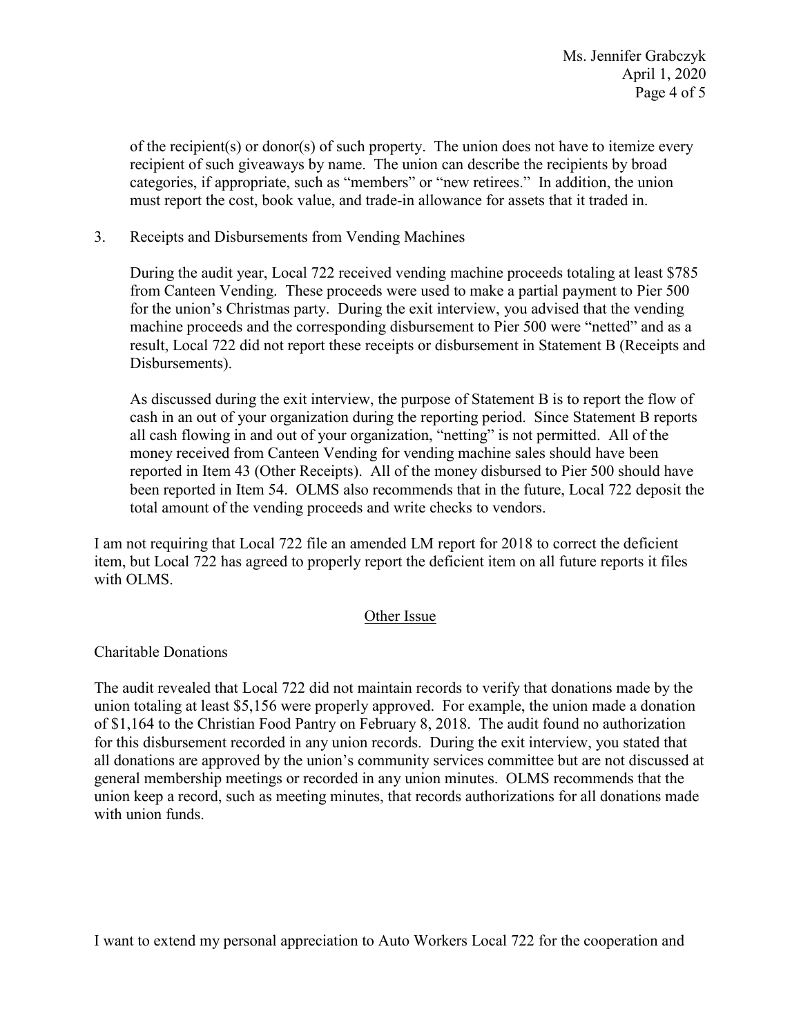categories, if appropriate, such as "members" or "new retirees." In addition, the union of the recipient(s) or donor(s) of such property. The union does not have to itemize every recipient of such giveaways by name. The union can describe the recipients by broad must report the cost, book value, and trade-in allowance for assets that it traded in.

3. Receipts and Disbursements from Vending Machines

 machine proceeds and the corresponding disbursement to Pier 500 were "netted" and as a result, Local 722 did not report these receipts or disbursement in Statement B (Receipts and During the audit year, Local 722 received vending machine proceeds totaling at least \$785 from Canteen Vending. These proceeds were used to make a partial payment to Pier 500 for the union's Christmas party. During the exit interview, you advised that the vending Disbursements).

 all cash flowing in and out of your organization, "netting" is not permitted. All of the reported in Item 43 (Other Receipts). All of the money disbursed to Pier 500 should have been reported in Item 54. OLMS also recommends that in the future, Local 722 deposit the total amount of the vending proceeds and write checks to vendors. As discussed during the exit interview, the purpose of Statement B is to report the flow of cash in an out of your organization during the reporting period. Since Statement B reports money received from Canteen Vending for vending machine sales should have been

I am not requiring that Local 722 file an amended LM report for 2018 to correct the deficient item, but Local 722 has agreed to properly report the deficient item on all future reports it files with OLMS.

# Other Issue

# Charitable Donations

 general membership meetings or recorded in any union minutes. OLMS recommends that the with union funds. The audit revealed that Local 722 did not maintain records to verify that donations made by the union totaling at least \$5,156 were properly approved. For example, the union made a donation of \$1,164 to the Christian Food Pantry on February 8, 2018. The audit found no authorization for this disbursement recorded in any union records. During the exit interview, you stated that all donations are approved by the union's community services committee but are not discussed at union keep a record, such as meeting minutes, that records authorizations for all donations made